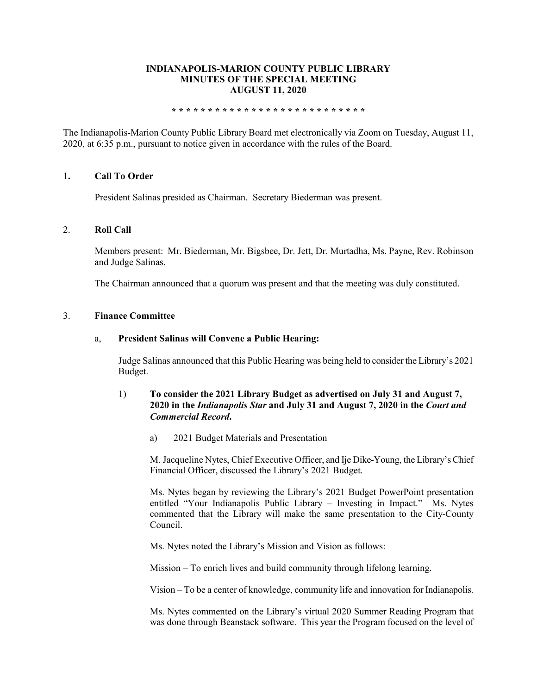## **INDIANAPOLIS-MARION COUNTY PUBLIC LIBRARY MINUTES OF THE SPECIAL MEETING AUGUST 11, 2020**

#### **\* \* \* \* \* \* \* \* \* \* \* \* \* \* \* \* \* \* \* \* \* \* \* \* \* \* \***

The Indianapolis-Marion County Public Library Board met electronically via Zoom on Tuesday, August 11, 2020, at 6:35 p.m., pursuant to notice given in accordance with the rules of the Board.

## 1**. Call To Order**

President Salinas presided as Chairman. Secretary Biederman was present.

### 2. **Roll Call**

Members present: Mr. Biederman, Mr. Bigsbee, Dr. Jett, Dr. Murtadha, Ms. Payne, Rev. Robinson and Judge Salinas.

The Chairman announced that a quorum was present and that the meeting was duly constituted.

### 3. **Finance Committee**

### a, **President Salinas will Convene a Public Hearing:**

Judge Salinas announced that this Public Hearing was being held to consider the Library's 2021 Budget.

## 1) **To consider the 2021 Library Budget as advertised on July 31 and August 7, 2020 in the** *Indianapolis Star* **and July 31 and August 7, 2020 in the** *Court and Commercial Record***.**

a) 2021 Budget Materials and Presentation

M. Jacqueline Nytes, Chief Executive Officer, and Ije Dike-Young, the Library's Chief Financial Officer, discussed the Library's 2021 Budget.

Ms. Nytes began by reviewing the Library's 2021 Budget PowerPoint presentation entitled "Your Indianapolis Public Library – Investing in Impact." Ms. Nytes commented that the Library will make the same presentation to the City-County Council.

Ms. Nytes noted the Library's Mission and Vision as follows:

Mission – To enrich lives and build community through lifelong learning.

Vision – To be a center of knowledge, community life and innovation for Indianapolis.

Ms. Nytes commented on the Library's virtual 2020 Summer Reading Program that was done through Beanstack software. This year the Program focused on the level of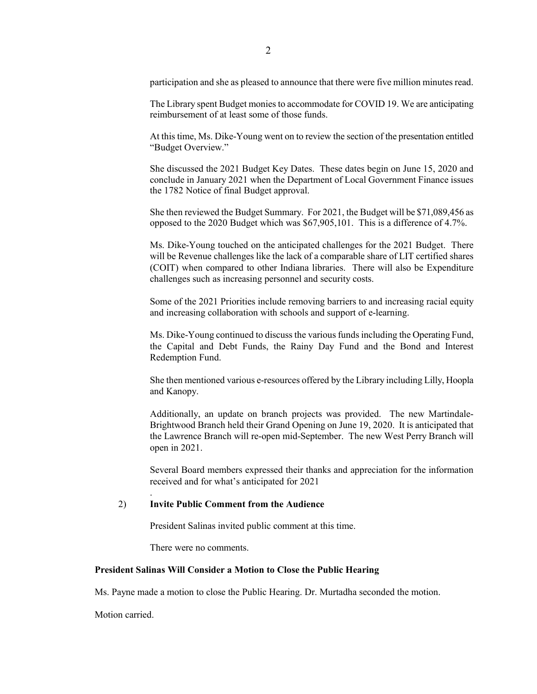participation and she as pleased to announce that there were five million minutes read.

The Library spent Budget monies to accommodate for COVID 19. We are anticipating reimbursement of at least some of those funds.

At this time, Ms. Dike-Young went on to review the section of the presentation entitled "Budget Overview."

She discussed the 2021 Budget Key Dates. These dates begin on June 15, 2020 and conclude in January 2021 when the Department of Local Government Finance issues the 1782 Notice of final Budget approval.

She then reviewed the Budget Summary. For 2021, the Budget will be \$71,089,456 as opposed to the 2020 Budget which was \$67,905,101. This is a difference of 4.7%.

Ms. Dike-Young touched on the anticipated challenges for the 2021 Budget. There will be Revenue challenges like the lack of a comparable share of LIT certified shares (COIT) when compared to other Indiana libraries. There will also be Expenditure challenges such as increasing personnel and security costs.

Some of the 2021 Priorities include removing barriers to and increasing racial equity and increasing collaboration with schools and support of e-learning.

Ms. Dike-Young continued to discuss the various funds including the Operating Fund, the Capital and Debt Funds, the Rainy Day Fund and the Bond and Interest Redemption Fund.

She then mentioned various e-resources offered by the Library including Lilly, Hoopla and Kanopy.

Additionally, an update on branch projects was provided. The new Martindale-Brightwood Branch held their Grand Opening on June 19, 2020. It is anticipated that the Lawrence Branch will re-open mid-September. The new West Perry Branch will open in 2021.

Several Board members expressed their thanks and appreciation for the information received and for what's anticipated for 2021

### 2) **Invite Public Comment from the Audience**

President Salinas invited public comment at this time.

There were no comments.

### **President Salinas Will Consider a Motion to Close the Public Hearing**

Ms. Payne made a motion to close the Public Hearing. Dr. Murtadha seconded the motion.

Motion carried.

.